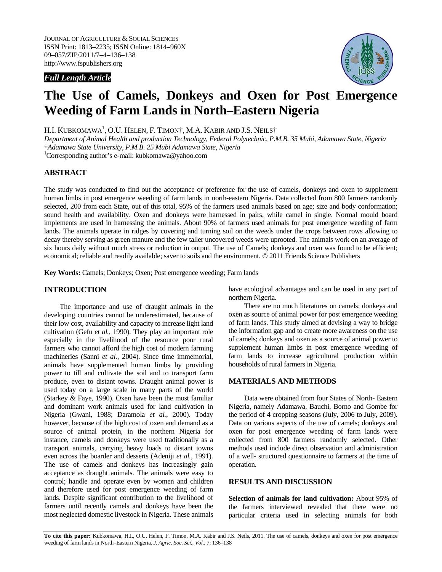### *Full Length Article*



# **The Use of Camels, Donkeys and Oxen for Post Emergence Weeding of Farm Lands in North–Eastern Nigeria**

H.I. KUBKOMAWA<sup>1</sup>, O.U. HELEN, F. TIMON†, M.A. KABIR AND J.S. NEILS†

*Department of Animal Health and production Technology, Federal Polytechnic, P.M.B. 35 Mubi, Adamawa State, Nigeria*  †*Adamawa State University, P.M.B. 25 Mubi Adamawa State, Nigeria*

1 Corresponding author's e-mail: kubkomawa@yahoo.com

## **ABSTRACT**

The study was conducted to find out the acceptance or preference for the use of camels, donkeys and oxen to supplement human limbs in post emergence weeding of farm lands in north-eastern Nigeria. Data collected from 800 farmers randomly selected, 200 from each State, out of this total, 95% of the farmers used animals based on age; size and body conformation; sound health and availability. Oxen and donkeys were harnessed in pairs, while camel in single. Normal mould board implements are used in harnessing the animals. About 90% of farmers used animals for post emergence weeding of farm lands. The animals operate in ridges by covering and turning soil on the weeds under the crops between rows allowing to decay thereby serving as green manure and the few taller uncovered weeds were uprooted. The animals work on an average of six hours daily without much stress or reduction in output. The use of Camels; donkeys and oxen was found to be efficient; economical; reliable and readily available; saver to soils and the environment. © 2011 Friends Science Publishers

**Key Words:** Camels; Donkeys; Oxen; Post emergence weeding; Farm lands

## **INTRODUCTION**

The importance and use of draught animals in the developing countries cannot be underestimated, because of their low cost, availability and capacity to increase light land cultivation (Gefu *et al.*, 1990). They play an important role especially in the livelihood of the resource poor rural farmers who cannot afford the high cost of modern farming machineries (Sanni *et al.*, 2004). Since time immemorial, animals have supplemented human limbs by providing power to till and cultivate the soil and to transport farm produce, even to distant towns. Draught animal power is used today on a large scale in many parts of the world (Starkey & Faye, 1990). Oxen have been the most familiar and dominant work animals used for land cultivation in Nigeria (Gwani, 1988; Daramola *et al.*, 2000). Today however, because of the high cost of oxen and demand as a source of animal protein, in the northern Nigeria for instance, camels and donkeys were used traditionally as a transport animals, carrying heavy loads to distant towns even across the boarder and desserts (Adeniji *et al.*, 1991). The use of camels and donkeys has increasingly gain acceptance as draught animals. The animals were easy to control; handle and operate even by women and children and therefore used for post emergence weeding of farm lands. Despite significant contribution to the livelihood of farmers until recently camels and donkeys have been the most neglected domestic livestock in Nigeria. These animals have ecological advantages and can be used in any part of northern Nigeria.

There are no much literatures on camels; donkeys and oxen as source of animal power for post emergence weeding of farm lands. This study aimed at devising a way to bridge the information gap and to create more awareness on the use of camels; donkeys and oxen as a source of animal power to supplement human limbs in post emergence weeding of farm lands to increase agricultural production within households of rural farmers in Nigeria.

#### **MATERIALS AND METHODS**

Data were obtained from four States of North- Eastern Nigeria, namely Adamawa, Bauchi, Borno and Gombe for the period of 4 cropping seasons (July, 2006 to July, 2009). Data on various aspects of the use of camels; donkeys and oxen for post emergence weeding of farm lands were collected from 800 farmers randomly selected. Other methods used include direct observation and administration of a well- structured questionnaire to farmers at the time of operation.

#### **RESULTS AND DISCUSSION**

**Selection of animals for land cultivation:** About 95% of the farmers interviewed revealed that there were no particular criteria used in selecting animals for both

**To cite this paper:** Kubkomawa, H.I., O.U. Helen, F. Timon, M.A. Kabir and J.S. Neils, 2011. The use of camels, donkeys and oxen for post emergence weeding of farm lands in North–Eastern Nigeria. *J. Agric. Soc. Sci., Vol.*, 7: 136–138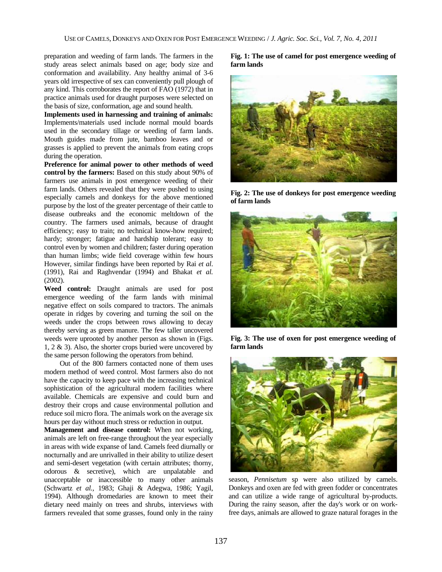preparation and weeding of farm lands. The farmers in the study areas select animals based on age; body size and conformation and availability. Any healthy animal of 3-6 years old irrespective of sex can conveniently pull plough of any kind. This corroborates the report of FAO (1972) that in practice animals used for draught purposes were selected on the basis of size, conformation, age and sound health.

**Implements used in harnessing and training of animals:**  Implements/materials used include normal mould boards used in the secondary tillage or weeding of farm lands. Mouth guides made from jute, bamboo leaves and or grasses is applied to prevent the animals from eating crops during the operation.

**Preference for animal power to other methods of weed control by the farmers:** Based on this study about 90% of farmers use animals in post emergence weeding of their farm lands. Others revealed that they were pushed to using especially camels and donkeys for the above mentioned purpose by the lost of the greater percentage of their cattle to disease outbreaks and the economic meltdown of the country. The farmers used animals, because of draught efficiency; easy to train; no technical know-how required; hardy; stronger; fatigue and hardship tolerant; easy to control even by women and children; faster during operation than human limbs; wide field coverage within few hours However, similar findings have been reported by Rai *et al*. (1991), Rai and Raghvendar (1994) and Bhakat *et al.* (2002).

**Weed control:** Draught animals are used for post emergence weeding of the farm lands with minimal negative effect on soils compared to tractors. The animals operate in ridges by covering and turning the soil on the weeds under the crops between rows allowing to decay thereby serving as green manure. The few taller uncovered weeds were uprooted by another person as shown in (Figs. 1, 2 & 3). Also, the shorter crops buried were uncovered by the same person following the operators from behind.

Out of the 800 farmers contacted none of them uses modern method of weed control. Most farmers also do not have the capacity to keep pace with the increasing technical sophistication of the agricultural modern facilities where available. Chemicals are expensive and could burn and destroy their crops and cause environmental pollution and reduce soil micro flora. The animals work on the average six hours per day without much stress or reduction in output.

**Management and disease control:** When not working, animals are left on free-range throughout the year especially in areas with wide expanse of land. Camels feed diurnally or nocturnally and are unrivalled in their ability to utilize desert and semi-desert vegetation (with certain attributes; thorny, odorous & secretive), which are unpalatable and unacceptable or inaccessible to many other animals (Schwartz *et al.,* 1983; Ghaji & Adegwa, 1986; Yagil, 1994). Although dromedaries are known to meet their dietary need mainly on trees and shrubs, interviews with farmers revealed that some grasses, found only in the rainy **Fig. 1: The use of camel for post emergence weeding of farm lands** 



**Fig. 2: The use of donkeys for post emergence weeding of farm lands** 



**Fig. 3: The use of oxen for post emergence weeding of farm lands** 



season, *Pennisetum* sp were also utilized by camels. Donkeys and oxen are fed with green fodder or concentrates and can utilize a wide range of agricultural by-products. During the rainy season, after the day's work or on workfree days, animals are allowed to graze natural forages in the